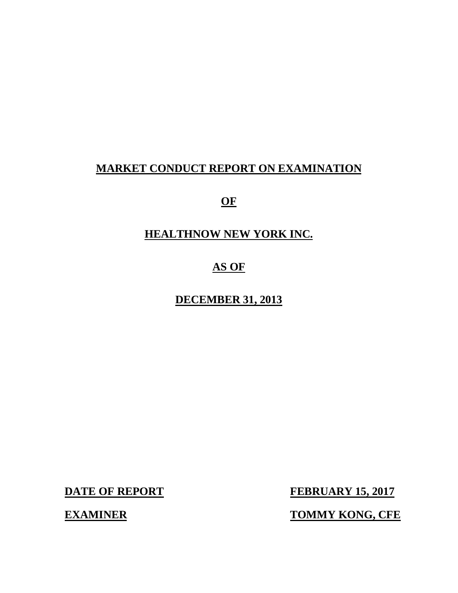# **MARKET CONDUCT REPORT ON EXAMINATION**

**OF** 

# **HEALTHNOW NEW YORK INC.**

# **AS OF**

# **DECEMBER 31, 2013**

**DATE OF REPORT FEBRUARY 15, 2017** 

**EXAMINER TOMMY KONG, CFE**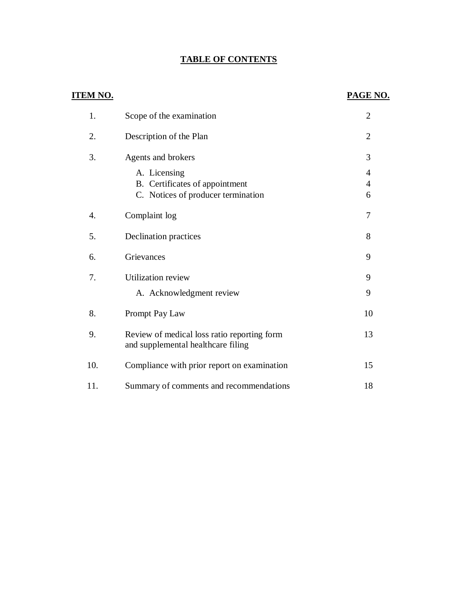# **TABLE OF CONTENTS**

| <b>ITEM NO.</b> |                                                                                      | PAGE NO.                              |
|-----------------|--------------------------------------------------------------------------------------|---------------------------------------|
| 1.              | Scope of the examination                                                             | $\overline{2}$                        |
| 2.              | Description of the Plan                                                              | $\overline{2}$                        |
| 3.              | Agents and brokers                                                                   | 3                                     |
|                 | A. Licensing<br>B. Certificates of appointment<br>C. Notices of producer termination | $\overline{4}$<br>$\overline{4}$<br>6 |
| 4.              | Complaint log                                                                        | 7                                     |
| 5.              | Declination practices                                                                | 8                                     |
| 6.              | Grievances                                                                           | 9                                     |
| 7.              | <b>Utilization review</b><br>A. Acknowledgment review                                | 9<br>9                                |
| 8.              | Prompt Pay Law                                                                       | 10                                    |
| 9.              | Review of medical loss ratio reporting form<br>and supplemental healthcare filing    | 13                                    |
| 10.             | Compliance with prior report on examination                                          | 15                                    |
| 11.             | Summary of comments and recommendations                                              | 18                                    |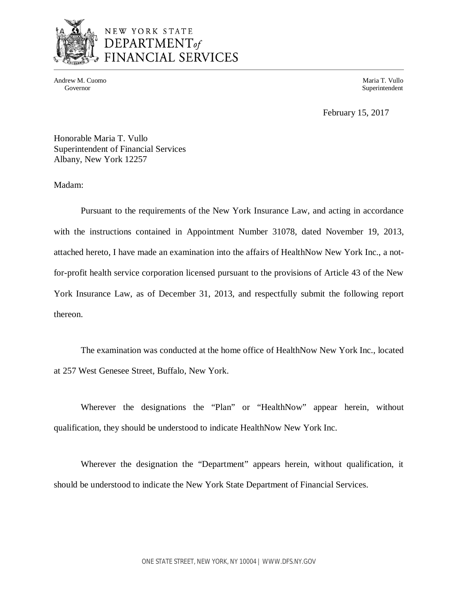

# NEW YORK STATE DEPARTMENT<sub>of</sub> **JANCIAL SERVICES**

Andrew M. Cuomo **Maria T. Vullo** National Andrew Maria T. Vullo National Andrew M. Cuomo **Maria T. Vullo** National Andrew M. Cuomo **Maria T. Vullo** National Andrew M. Cuomo **Maria T. Vullo** National Andrew M. Cuomo **Maria** 

Governor Superintendent Superintendent Superintendent Superintendent Superintendent Superintendent Superintendent Superintendent Superintendent Superintendent Superintendent Superintendent Superintendent Superintendent Sup

February 15, 2017

 Honorable Maria T. Vullo Superintendent of Financial Services Albany, New York 12257

Madam:

 Pursuant to the requirements of the New York Insurance Law, and acting in accordance with the instructions contained in Appointment Number 31078, dated November 19, 2013, attached hereto, I have made an examination into the affairs of HealthNow New York Inc., a not- for-profit health service corporation licensed pursuant to the provisions of Article 43 of the New York Insurance Law, as of December 31, 2013, and respectfully submit the following report thereon.

 The examination was conducted at the home office of HealthNow New York Inc., located at 257 West Genesee Street, Buffalo, New York.

 Wherever the designations the "Plan" or "HealthNow" appear herein, without qualification, they should be understood to indicate HealthNow New York Inc.

 Wherever the designation the "Department" appears herein, without qualification, it should be understood to indicate the New York State Department of Financial Services.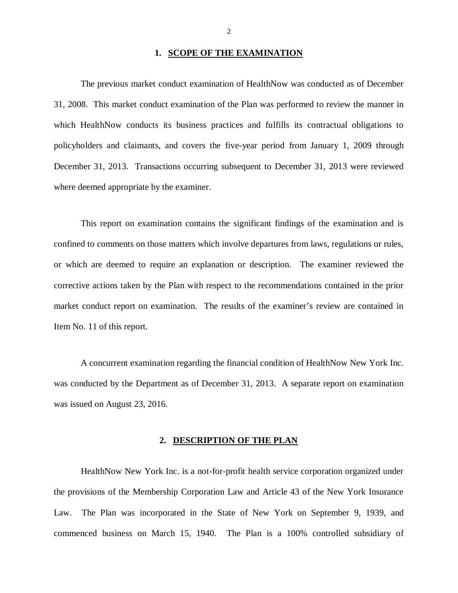#### **1. SCOPE OF THE EXAMINATION**

 The previous market conduct examination of HealthNow was conducted as of December 31, 2008. This market conduct examination of the Plan was performed to review the manner in which HealthNow conducts its business practices and fulfills its contractual obligations to policyholders and claimants, and covers the five-year period from January 1, 2009 through December 31, 2013. Transactions occurring subsequent to December 31, 2013 were reviewed where deemed appropriate by the examiner.

 This report on examination contains the significant findings of the examination and is confined to comments on those matters which involve departures from laws, regulations or rules, or which are deemed to require an explanation or description. The examiner reviewed the corrective actions taken by the Plan with respect to the recommendations contained in the prior market conduct report on examination. The results of the examiner's review are contained in Item No. 11 of this report.

 A concurrent examination regarding the financial condition of HealthNow New York Inc. was conducted by the Department as of December 31, 2013. A separate report on examination was issued on August 23, 2016.

### **2. DESCRIPTION OF THE PLAN**

 HealthNow New York Inc. is a not-for-profit health service corporation organized under the provisions of the Membership Corporation Law and Article 43 of the New York Insurance Law. The Plan was incorporated in the State of New York on September 9, 1939, and commenced business on March 15, 1940. The Plan is a 100% controlled subsidiary of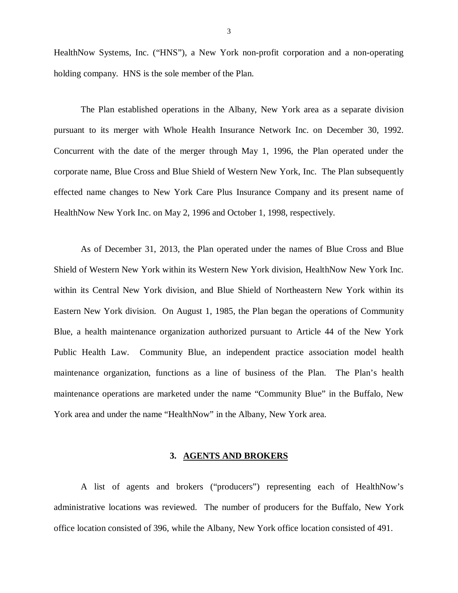<span id="page-4-0"></span> HealthNow Systems, Inc. ("HNS"), a New York non-profit corporation and a non-operating holding company. HNS is the sole member of the Plan.

 The Plan established operations in the Albany, New York area as a separate division pursuant to its merger with Whole Health Insurance Network Inc. on December 30, 1992. Concurrent with the date of the merger through May 1, 1996, the Plan operated under the corporate name, Blue Cross and Blue Shield of Western New York, Inc. The Plan subsequently effected name changes to New York Care Plus Insurance Company and its present name of HealthNow New York Inc. on May 2, 1996 and October 1, 1998, respectively.

 As of December 31, 2013, the Plan operated under the names of Blue Cross and Blue Shield of Western New York within its Western New York division, HealthNow New York Inc. within its Central New York division, and Blue Shield of Northeastern New York within its Eastern New York division. On August 1, 1985, the Plan began the operations of Community Blue, a health maintenance organization authorized pursuant to Article 44 of the New York Public Health Law. Community Blue, an independent practice association model health maintenance organization, functions as a line of business of the Plan. The Plan's health maintenance operations are marketed under the name "Community Blue" in the Buffalo, New York area and under the name "HealthNow" in the Albany, New York area.

#### **3. AGENTS AND BROKERS**

 A list of agents and brokers ("producers") representing each of HealthNow's administrative locations was reviewed. The number of producers for the Buffalo, New York office location consisted of 396, while the Albany, New York office location consisted of 491.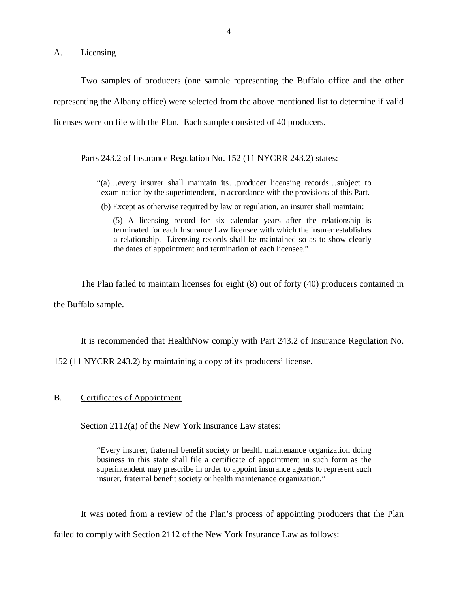<span id="page-5-0"></span>A. Licensing

 Two samples of producers (one sample representing the Buffalo office and the other representing the Albany office) were selected from the above mentioned list to determine if valid licenses were on file with the Plan. Each sample consisted of 40 producers.

Parts 243.2 of Insurance Regulation No. 152 (11 NYCRR 243.2) states:

- "(a)…every insurer shall maintain its…producer licensing records…subject to examination by the superintendent, in accordance with the provisions of this Part.
- (b) Except as otherwise required by law or regulation, an insurer shall maintain:

 (5) A licensing record for six calendar years after the relationship is terminated for each Insurance Law licensee with which the insurer establishes a relationship. Licensing records shall be maintained so as to show clearly the dates of appointment and termination of each licensee."

The Plan failed to maintain licenses for eight (8) out of forty (40) producers contained in

the Buffalo sample.

It is recommended that HealthNow comply with Part 243.2 of Insurance Regulation No.

152 (11 NYCRR 243.2) by maintaining a copy of its producers' license.

### B. Certificates of Appointment

Section 2112(a) of the New York Insurance Law states:

 "Every insurer, fraternal benefit society or health maintenance organization doing business in this state shall file a certificate of appointment in such form as the superintendent may prescribe in order to appoint insurance agents to represent such insurer, fraternal benefit society or health maintenance organization."

 It was noted from a review of the Plan's process of appointing producers that the Plan failed to comply with Section 2112 of the New York Insurance Law as follows: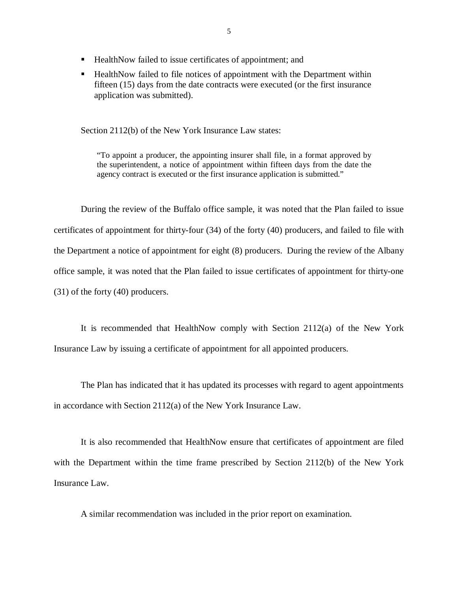- HealthNow failed to issue certificates of appointment; and
- **HealthNow failed to file notices of appointment with the Department within**  fifteen (15) days from the date contracts were executed (or the first insurance application was submitted).

Section 2112(b) of the New York Insurance Law states:

 "To appoint a producer, the appointing insurer shall file, in a format approved by the superintendent, a notice of appointment within fifteen days from the date the agency contract is executed or the first insurance application is submitted."

 During the review of the Buffalo office sample, it was noted that the Plan failed to issue certificates of appointment for thirty-four (34) of the forty (40) producers, and failed to file with the Department a notice of appointment for eight (8) producers. During the review of the Albany office sample, it was noted that the Plan failed to issue certificates of appointment for thirty-one (31) of the forty (40) producers.

 It is recommended that HealthNow comply with Section 2112(a) of the New York Insurance Law by issuing a certificate of appointment for all appointed producers.

 The Plan has indicated that it has updated its processes with regard to agent appointments in accordance with Section 2112(a) of the New York Insurance Law.

 It is also recommended that HealthNow ensure that certificates of appointment are filed with the Department within the time frame prescribed by Section 2112(b) of the New York Insurance Law.

A similar recommendation was included in the prior report on examination.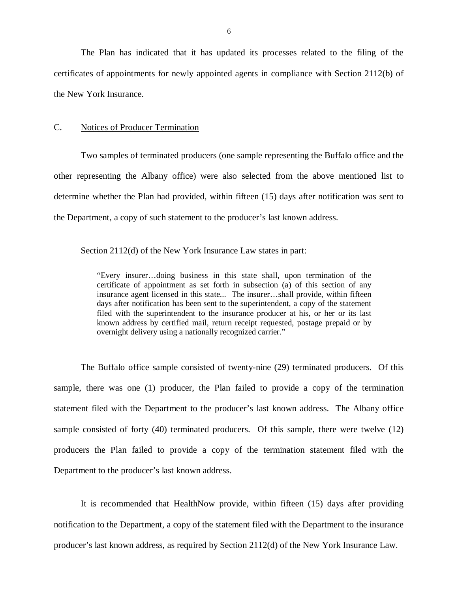<span id="page-7-0"></span> The Plan has indicated that it has updated its processes related to the filing of the certificates of appointments for newly appointed agents in compliance with Section 2112(b) of the New York Insurance.

#### C. Notices of Producer Termination

 Two samples of terminated producers (one sample representing the Buffalo office and the other representing the Albany office) were also selected from the above mentioned list to determine whether the Plan had provided, within fifteen (15) days after notification was sent to the Department, a copy of such statement to the producer's last known address.

Section 2112(d) of the New York Insurance Law states in part:

 "Every insurer…doing business in this state shall, upon termination of the certificate of appointment as set forth in subsection (a) of this section of any insurance agent licensed in this state... The insurer…shall provide, within fifteen days after notification has been sent to the superintendent, a copy of the statement filed with the superintendent to the insurance producer at his, or her or its last known address by certified mail, return receipt requested, postage prepaid or by overnight delivery using a nationally recognized carrier."

 The Buffalo office sample consisted of twenty-nine (29) terminated producers. Of this sample, there was one (1) producer, the Plan failed to provide a copy of the termination statement filed with the Department to the producer's last known address. The Albany office sample consisted of forty (40) terminated producers. Of this sample, there were twelve (12) producers the Plan failed to provide a copy of the termination statement filed with the Department to the producer's last known address.

 It is recommended that HealthNow provide, within fifteen (15) days after providing notification to the Department, a copy of the statement filed with the Department to the insurance producer's last known address, as required by Section 2112(d) of the New York Insurance Law.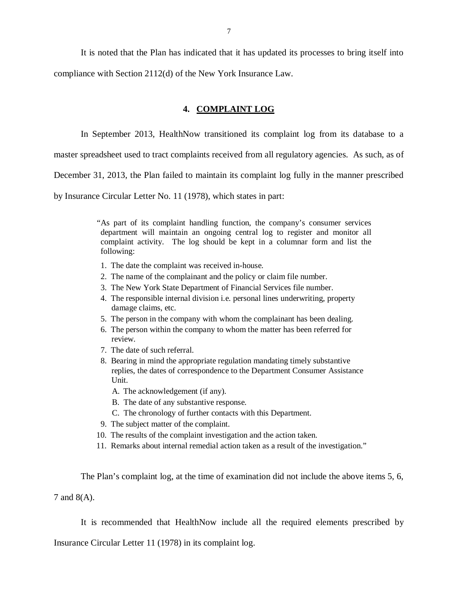<span id="page-8-0"></span> It is noted that the Plan has indicated that it has updated its processes to bring itself into compliance with Section 2112(d) of the New York Insurance Law.

# **4. COMPLAINT LOG**

In September 2013, HealthNow transitioned its complaint log from its database to a

master spreadsheet used to tract complaints received from all regulatory agencies. As such, as of

December 31, 2013, the Plan failed to maintain its complaint log fully in the manner prescribed

by Insurance Circular Letter No. 11 (1978), which states in part:

 "As part of its complaint handling function, the company's consumer services department will maintain an ongoing central log to register and monitor all complaint activity. The log should be kept in a columnar form and list the following:

- 1. The date the complaint was received in-house.
- 2. The name of the complainant and the policy or claim file number.
- 3. The New York State Department of Financial Services file number.
- 4. The responsible internal division i.e. personal lines underwriting, property damage claims, etc.
- 5. The person in the company with whom the complainant has been dealing.
- 6. The person within the company to whom the matter has been referred for review.
- 7. The date of such referral.
- 8. Bearing in mind the appropriate regulation mandating timely substantive replies, the dates of correspondence to the Department Consumer Assistance Unit.
	- A. The acknowledgement (if any).
	- B. The date of any substantive response.
	- C. The chronology of further contacts with this Department.
- 9. The subject matter of the complaint.
- 10. The results of the complaint investigation and the action taken.
- 11. Remarks about internal remedial action taken as a result of the investigation."

The Plan's complaint log, at the time of examination did not include the above items 5, 6,

7 and 8(A).

It is recommended that HealthNow include all the required elements prescribed by

Insurance Circular Letter 11 (1978) in its complaint log.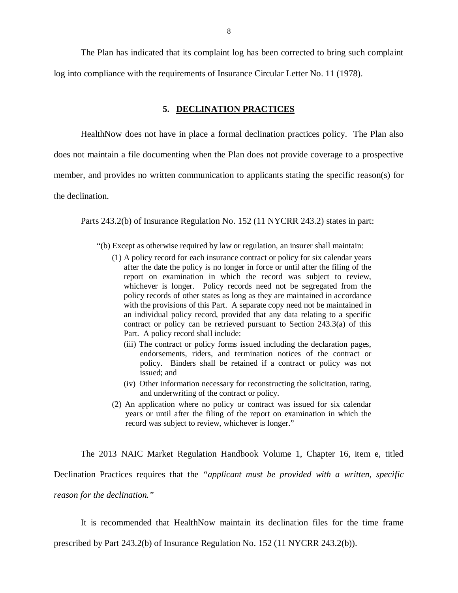<span id="page-9-0"></span> The Plan has indicated that its complaint log has been corrected to bring such complaint log into compliance with the requirements of Insurance Circular Letter No. 11 (1978).

#### **5. DECLINATION PRACTICES**

 HealthNow does not have in place a formal declination practices policy. The Plan also does not maintain a file documenting when the Plan does not provide coverage to a prospective member, and provides no written communication to applicants stating the specific reason(s) for the declination.

Parts 243.2(b) of Insurance Regulation No. 152 (11 NYCRR 243.2) states in part:

"(b) Except as otherwise required by law or regulation, an insurer shall maintain:

- (1) A policy record for each insurance contract or policy for six calendar years after the date the policy is no longer in force or until after the filing of the report on examination in which the record was subject to review, whichever is longer. Policy records need not be segregated from the policy records of other states as long as they are maintained in accordance with the provisions of this Part. A separate copy need not be maintained in an individual policy record, provided that any data relating to a specific contract or policy can be retrieved pursuant to Section 243.3(a) of this Part. A policy record shall include:
	- (iii) The contract or policy forms issued including the declaration pages, endorsements, riders, and termination notices of the contract or policy. Binders shall be retained if a contract or policy was not issued; and
	- (iv) Other information necessary for reconstructing the solicitation, rating, and underwriting of the contract or policy.
- (2) An application where no policy or contract was issued for six calendar years or until after the filing of the report on examination in which the record was subject to review, whichever is longer."

 The 2013 NAIC Market Regulation Handbook Volume 1, Chapter 16, item e, titled Declination Practices requires that the *"applicant must be provided with a written, specific reason for the declination."* 

 It is recommended that HealthNow maintain its declination files for the time frame prescribed by Part 243.2(b) of Insurance Regulation No. 152 (11 NYCRR 243.2(b)).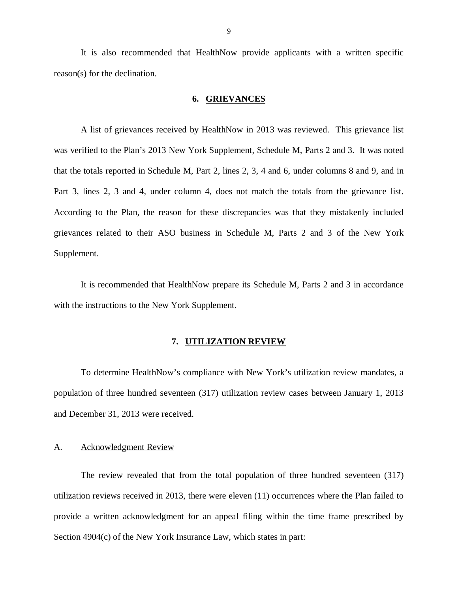<span id="page-10-0"></span> It is also recommended that HealthNow provide applicants with a written specific reason(s) for the declination.

## **6. GRIEVANCES**

 A list of grievances received by HealthNow in 2013 was reviewed. This grievance list was verified to the Plan's 2013 New York Supplement, Schedule M, Parts 2 and 3. It was noted that the totals reported in Schedule M, Part 2, lines 2, 3, 4 and 6, under columns 8 and 9, and in Part 3, lines 2, 3 and 4, under column 4, does not match the totals from the grievance list. According to the Plan, the reason for these discrepancies was that they mistakenly included grievances related to their ASO business in Schedule M, Parts 2 and 3 of the New York Supplement.

 It is recommended that HealthNow prepare its Schedule M, Parts 2 and 3 in accordance with the instructions to the New York Supplement.

#### **7. UTILIZATION REVIEW**

 To determine HealthNow's compliance with New York's utilization review mandates, a population of three hundred seventeen (317) utilization review cases between January 1, 2013 and December 31, 2013 were received.

#### A. Acknowledgment Review

 The review revealed that from the total population of three hundred seventeen (317) utilization reviews received in 2013, there were eleven (11) occurrences where the Plan failed to provide a written acknowledgment for an appeal filing within the time frame prescribed by Section 4904(c) of the New York Insurance Law, which states in part: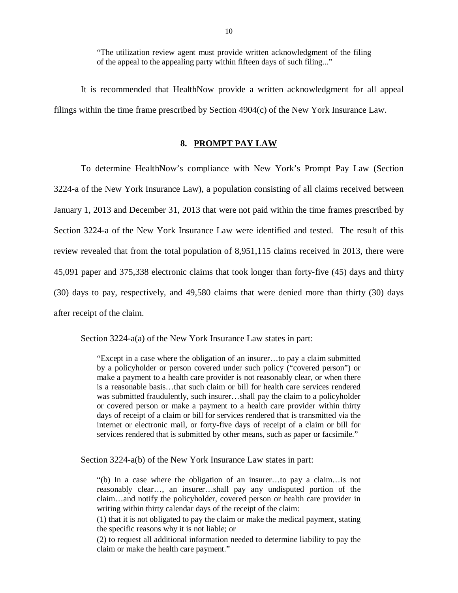"The utilization review agent must provide written acknowledgment of the filing of the appeal to the appealing party within fifteen days of such filing..."

<span id="page-11-0"></span> It is recommended that HealthNow provide a written acknowledgment for all appeal filings within the time frame prescribed by Section 4904(c) of the New York Insurance Law.

#### **8. PROMPT PAY LAW**

 To determine HealthNow's compliance with New York's Prompt Pay Law (Section 3224-a of the New York Insurance Law), a population consisting of all claims received between January 1, 2013 and December 31, 2013 that were not paid within the time frames prescribed by Section 3224-a of the New York Insurance Law were identified and tested. The result of this review revealed that from the total population of 8,951,115 claims received in 2013, there were 45,091 paper and 375,338 electronic claims that took longer than forty-five (45) days and thirty (30) days to pay, respectively, and 49,580 claims that were denied more than thirty (30) days after receipt of the claim.

Section 3224-a(a) of the New York Insurance Law states in part:

 "Except in a case where the obligation of an insurer…to pay a claim submitted by a policyholder or person covered under such policy ("covered person") or make a payment to a health care provider is not reasonably clear, or when there is a reasonable basis…that such claim or bill for health care services rendered was submitted fraudulently, such insurer…shall pay the claim to a policyholder or covered person or make a payment to a health care provider within thirty days of receipt of a claim or bill for services rendered that is transmitted via the internet or electronic mail, or forty-five days of receipt of a claim or bill for services rendered that is submitted by other means, such as paper or facsimile."

Section 3224-a(b) of the New York Insurance Law states in part:

 "(b) In a case where the obligation of an insurer…to pay a claim…is not reasonably clear…, an insurer…shall pay any undisputed portion of the claim…and notify the policyholder, covered person or health care provider in writing within thirty calendar days of the receipt of the claim:

 (1) that it is not obligated to pay the claim or make the medical payment, stating the specific reasons why it is not liable; or

 (2) to request all additional information needed to determine liability to pay the claim or make the health care payment."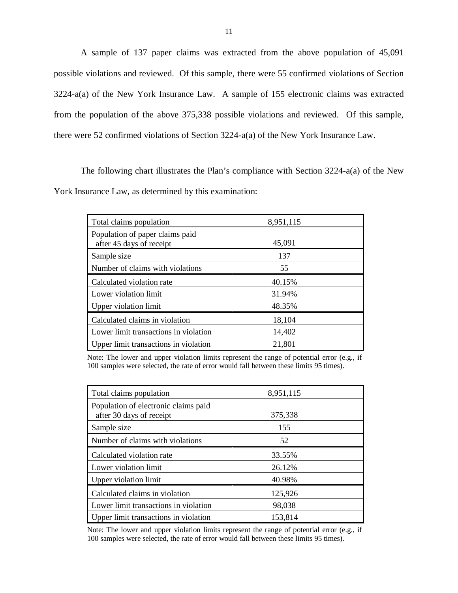A sample of 137 paper claims was extracted from the above population of 45,091 possible violations and reviewed. Of this sample, there were 55 confirmed violations of Section 3224-a(a) of the New York Insurance Law. A sample of 155 electronic claims was extracted from the population of the above 375,338 possible violations and reviewed. Of this sample, there were 52 confirmed violations of Section 3224-a(a) of the New York Insurance Law.

 The following chart illustrates the Plan's compliance with Section 3224-a(a) of the New York Insurance Law, as determined by this examination:

| Total claims population                                     | 8,951,115 |
|-------------------------------------------------------------|-----------|
| Population of paper claims paid<br>after 45 days of receipt | 45,091    |
| Sample size                                                 | 137       |
| Number of claims with violations                            | 55        |
| Calculated violation rate                                   | 40.15%    |
| Lower violation limit                                       | 31.94%    |
| Upper violation limit                                       | 48.35%    |
| Calculated claims in violation                              | 18,104    |
| Lower limit transactions in violation                       | 14,402    |
| Upper limit transactions in violation                       | 21,801    |

 Note: The lower and upper violation limits represent the range of potential error (e.g., if 100 samples were selected, the rate of error would fall between these limits 95 times).

| Total claims population                                          | 8,951,115 |
|------------------------------------------------------------------|-----------|
| Population of electronic claims paid<br>after 30 days of receipt | 375,338   |
| Sample size                                                      | 155       |
| Number of claims with violations                                 | 52        |
| Calculated violation rate                                        | 33.55%    |
| Lower violation limit                                            | 26.12%    |
| Upper violation limit                                            | 40.98%    |
| Calculated claims in violation                                   | 125,926   |
| Lower limit transactions in violation                            | 98,038    |
| Upper limit transactions in violation                            | 153,814   |

 Note: The lower and upper violation limits represent the range of potential error (e.g., if 100 samples were selected, the rate of error would fall between these limits 95 times).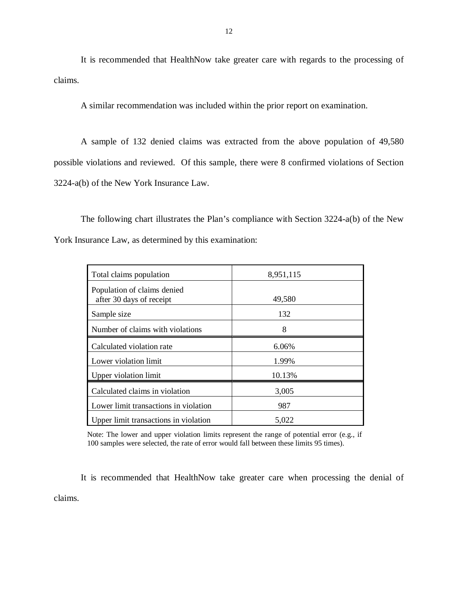It is recommended that HealthNow take greater care with regards to the processing of claims.

A similar recommendation was included within the prior report on examination.

 A sample of 132 denied claims was extracted from the above population of 49,580 possible violations and reviewed. Of this sample, there were 8 confirmed violations of Section 3224-a(b) of the New York Insurance Law.

 The following chart illustrates the Plan's compliance with Section 3224-a(b) of the New York Insurance Law, as determined by this examination:

| Total claims population                                 | 8,951,115 |
|---------------------------------------------------------|-----------|
| Population of claims denied<br>after 30 days of receipt | 49,580    |
| Sample size                                             | 132       |
| Number of claims with violations                        | 8         |
| Calculated violation rate                               | 6.06%     |
| Lower violation limit                                   | 1.99%     |
| Upper violation limit                                   | 10.13%    |
| Calculated claims in violation                          | 3,005     |
| Lower limit transactions in violation                   | 987       |
| Upper limit transactions in violation                   | 5.022     |

 Note: The lower and upper violation limits represent the range of potential error (e.g., if 100 samples were selected, the rate of error would fall between these limits 95 times).

 It is recommended that HealthNow take greater care when processing the denial of claims.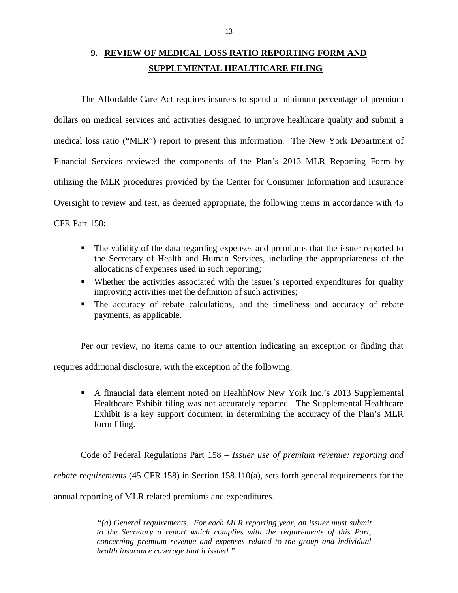# <span id="page-14-0"></span> **9. REVIEW OF MEDICAL LOSS RATIO REPORTING FORM AND SUPPLEMENTAL HEALTHCARE FILING**

 The Affordable Care Act requires insurers to spend a minimum percentage of premium dollars on medical services and activities designed to improve healthcare quality and submit a medical loss ratio ("MLR") report to present this information. The New York Department of Financial Services reviewed the components of the Plan's 2013 MLR Reporting Form by utilizing the MLR procedures provided by the Center for Consumer Information and Insurance Oversight to review and test, as deemed appropriate, the following items in accordance with 45 CFR Part 158:

- The validity of the data regarding expenses and premiums that the issuer reported to the Secretary of Health and Human Services, including the appropriateness of the allocations of expenses used in such reporting;
- **Whether the activities associated with the issuer's reported expenditures for quality** improving activities met the definition of such activities;
- The accuracy of rebate calculations, and the timeliness and accuracy of rebate payments, as applicable.

Per our review, no items came to our attention indicating an exception or finding that

requires additional disclosure, with the exception of the following:

 A financial data element noted on HealthNow New York Inc.'s 2013 Supplemental Healthcare Exhibit filing was not accurately reported. The Supplemental Healthcare Exhibit is a key support document in determining the accuracy of the Plan's MLR form filing.

 Code of Federal Regulations Part 158 – *Issuer use of premium revenue: reporting and rebate requirements* (45 CFR 158) in Section 158.110(a), sets forth general requirements for the

annual reporting of MLR related premiums and expenditures.

 *"(a) General requirements. For each MLR reporting year, an issuer must submit to the Secretary a report which complies with the requirements of this Part, concerning premium revenue and expenses related to the group and individual health insurance coverage that it issued."*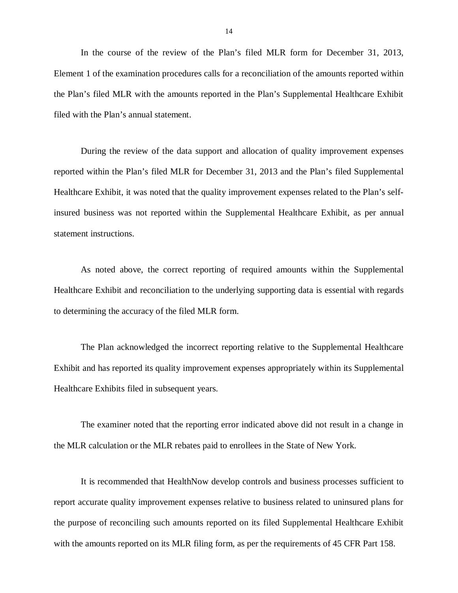In the course of the review of the Plan's filed MLR form for December 31, 2013, Element 1 of the examination procedures calls for a reconciliation of the amounts reported within the Plan's filed MLR with the amounts reported in the Plan's Supplemental Healthcare Exhibit filed with the Plan's annual statement.

 During the review of the data support and allocation of quality improvement expenses reported within the Plan's filed MLR for December 31, 2013 and the Plan's filed Supplemental Healthcare Exhibit, it was noted that the quality improvement expenses related to the Plan's self- insured business was not reported within the Supplemental Healthcare Exhibit, as per annual statement instructions.

 As noted above, the correct reporting of required amounts within the Supplemental Healthcare Exhibit and reconciliation to the underlying supporting data is essential with regards to determining the accuracy of the filed MLR form.

 The Plan acknowledged the incorrect reporting relative to the Supplemental Healthcare Exhibit and has reported its quality improvement expenses appropriately within its Supplemental Healthcare Exhibits filed in subsequent years.

 The examiner noted that the reporting error indicated above did not result in a change in the MLR calculation or the MLR rebates paid to enrollees in the State of New York.

 It is recommended that HealthNow develop controls and business processes sufficient to report accurate quality improvement expenses relative to business related to uninsured plans for the purpose of reconciling such amounts reported on its filed Supplemental Healthcare Exhibit with the amounts reported on its MLR filing form, as per the requirements of 45 CFR Part 158.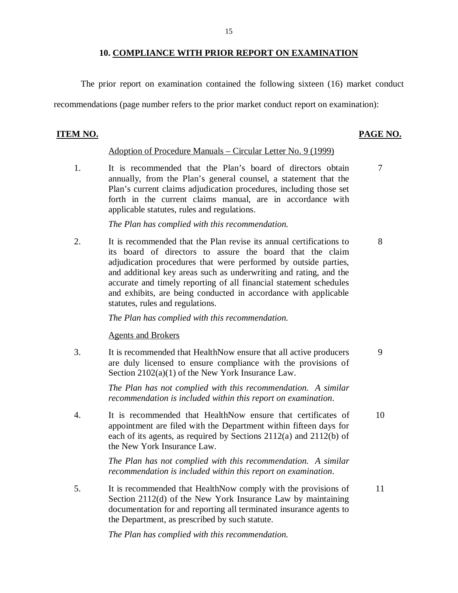## **10. COMPLIANCE WITH PRIOR REPORT ON EXAMINATION**

15

<span id="page-16-0"></span>The prior report on examination contained the following sixteen (16) market conduct

recommendations (page number refers to the prior market conduct report on examination):

#### **ITEM NO. PAGE NO.**

#### Adoption of Procedure Manuals – Circular Letter No. 9 (1999)

1. annually, from the Plan's general counsel, a statement that the Plan's current claims adjudication procedures, including those set forth in the current claims manual, are in accordance with applicable statutes, rules and regulations. It is recommended that the Plan's board of directors obtain 7

*The Plan has complied with this recommendation.* 

 $\overline{2}$ . its board of directors to assure the board that the claim adjudication procedures that were performed by outside parties, and additional key areas such as underwriting and rating, and the accurate and timely reporting of all financial statement schedules and exhibits, are being conducted in accordance with applicable statutes, rules and regulations. 2. It is recommended that the Plan revise its annual certifications to 8

*The Plan has complied with this recommendation.* 

### Agents and Brokers

3. are duly licensed to ensure compliance with the provisions of Section 2102(a)(1) of the New York Insurance Law. It is recommended that HealthNow ensure that all active producers 9

> *The Plan has not complied with this recommendation. A similar recommendation is included within this report on examination.*

 $\overline{4}$ . appointment are filed with the Department within fifteen days for each of its agents, as required by Sections 2112(a) and 2112(b) of the New York Insurance Law. It is recommended that HealthNow ensure that certificates of 10

> *The Plan has not complied with this recommendation. A similar recommendation is included within this report on examination.*

 $5<sub>1</sub>$  Section 2112(d) of the New York Insurance Law by maintaining documentation for and reporting all terminated insurance agents to the Department, as prescribed by such statute. It is recommended that HealthNow comply with the provisions of 11

 *The Plan has complied with this recommendation.*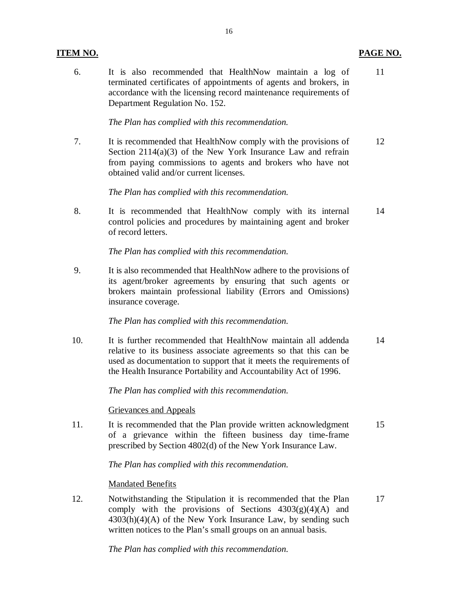# **ITEM NO. PAGE NO.**

6. terminated certificates of appointments of agents and brokers, in accordance with the licensing record maintenance requirements of Department Regulation No. 152. It is also recommended that HealthNow maintain a log of 11

 *The Plan has complied with this recommendation.* 

 $7<sub>1</sub>$  Section 2114(a)(3) of the New York Insurance Law and refrain from paying commissions to agents and brokers who have not obtained valid and/or current licenses. It is recommended that HealthNow comply with the provisions of 12

 *The Plan has complied with this recommendation.* 

8. control policies and procedures by maintaining agent and broker of record letters. It is recommended that HealthNow comply with its internal 14

 *The Plan has complied with this recommendation.* 

9. its agent/broker agreements by ensuring that such agents or brokers maintain professional liability (Errors and Omissions) insurance coverage. It is also recommended that HealthNow adhere to the provisions of

 *The Plan has complied with this recommendation.* 

 $10.$  relative to its business associate agreements so that this can be used as documentation to support that it meets the requirements of the Health Insurance Portability and Accountability Act of 1996. It is further recommended that HealthNow maintain all addenda 14

 *The Plan has complied with this recommendation.* 

Grievances and Appeals

11. of a grievance within the fifteen business day time-frame prescribed by Section 4802(d) of the New York Insurance Law. It is recommended that the Plan provide written acknowledgment 15

 *The Plan has complied with this recommendation.* 

**Mandated Benefits** 

12. Notwithstanding the Stipulation it is recommended that the Plan 17 comply with the provisions of Sections  $4303(g)(4)(A)$  and 4303(h)(4)(A) of the New York Insurance Law, by sending such written notices to the Plan's small groups on an annual basis.

 *The Plan has complied with this recommendation.*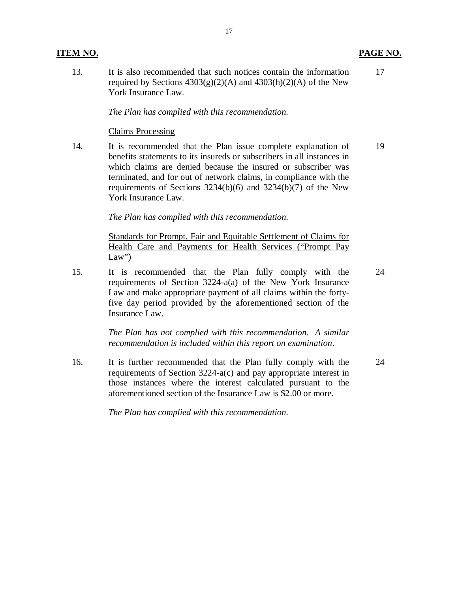# **ITEM NO. PAGE NO.**

 $13<sub>1</sub>$ required by Sections  $4303(g)(2)(A)$  and  $4303(h)(2)(A)$  of the New York Insurance Law. It is also recommended that such notices contain the information

17

24

## *The Plan has complied with this recommendation.*

## Claims Processing

14. benefits statements to its insureds or subscribers in all instances in which claims are denied because the insured or subscriber was terminated, and for out of network claims, in compliance with the requirements of Sections 3234(b)(6) and 3234(b)(7) of the New York Insurance Law. It is recommended that the Plan issue complete explanation of 19

 *The Plan has complied with this recommendation.* 

 Standards for Prompt, Fair and Equitable Settlement of Claims for Health Care and Payments for Health Services ("Prompt Pay  $Law'$ 

15. requirements of Section 3224-a(a) of the New York Insurance Law and make appropriate payment of all claims within the forty- five day period provided by the aforementioned section of the Insurance Law. 15. It is recommended that the Plan fully comply with the

> *The Plan has not complied with this recommendation. A similar recommendation is included within this report on examination.*

 $16.$  requirements of Section 3224-a(c) and pay appropriate interest in those instances where the interest calculated pursuant to the aforementioned section of the Insurance Law is \$2.00 or more. It is further recommended that the Plan fully comply with the 24

 *The Plan has complied with this recommendation.*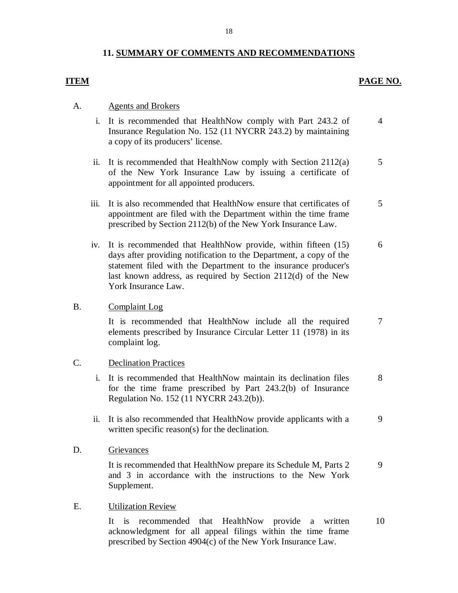# **11. SUMMARY OF COMMENTS AND RECOMMENDATIONS**

# **ITEM**

# **PAGE NO.**

# A. Agents and Brokers

- i. It is recommended that HealthNow comply with Part 243.2 of Insurance Regulation No. 152 (11 NYCRR 243.2) by maintaining a copy of its producers' license. 4
- ii. It is recommended that HealthNow comply with Section 2112(a) of the New York Insurance Law by issuing a certificate of appointment for all appointed producers. 5
- iii. It is also recommended that HealthNow ensure that certificates of appointment are filed with the Department within the time frame prescribed by Section 2112(b) of the New York Insurance Law. 5
- iv. It is recommended that HealthNow provide, within fifteen (15) days after providing notification to the Department, a copy of the statement filed with the Department to the insurance producer's last known address, as required by Section 2112(d) of the New York Insurance Law. 6

## B. Complaint Log

 It is recommended that HealthNow include all the required elements prescribed by Insurance Circular Letter 11 (1978) in its complaint log. 7

# C. Declination Practices

- i. It is recommended that HealthNow maintain its declination files for the time frame prescribed by Part 243.2(b) of Insurance Regulation No. 152 (11 NYCRR 243.2(b)). 8
- ii. It is also recommended that HealthNow provide applicants with a written specific reason(s) for the declination. 9

## D. Grievances

 It is recommended that HealthNow prepare its Schedule M, Parts 2 and 3 in accordance with the instructions to the New York Supplement. 9

## E. Utilization Review

 It is recommended that HealthNow provide a written acknowledgment for all appeal filings within the time frame prescribed by Section 4904(c) of the New York Insurance Law. 10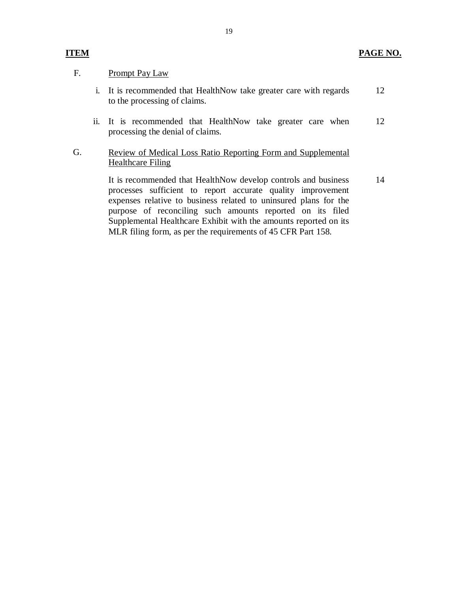# F. Prompt Pay Law

- i. It is recommended that HealthNow take greater care with regards to the processing of claims. 12
- ii. It is recommended that HealthNow take greater care when 12 processing the denial of claims.

# G. Review of Medical Loss Ratio Reporting Form and Supplemental Healthcare Filing

 It is recommended that HealthNow develop controls and business processes sufficient to report accurate quality improvement expenses relative to business related to uninsured plans for the purpose of reconciling such amounts reported on its filed Supplemental Healthcare Exhibit with the amounts reported on its MLR filing form, as per the requirements of 45 CFR Part 158. 14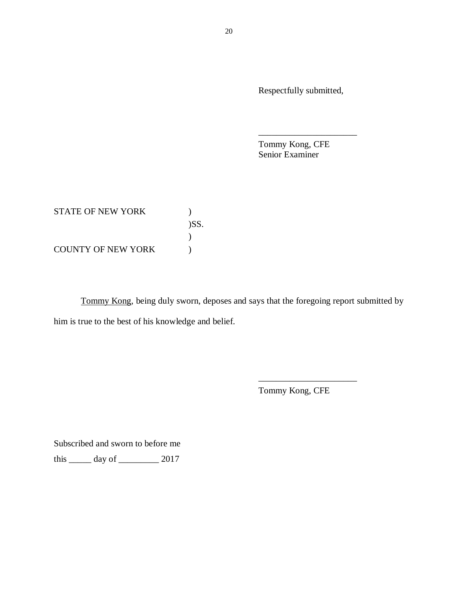Respectfully submitted,

\_\_\_\_\_\_\_\_\_\_\_\_\_\_\_\_\_\_\_\_\_\_

 Tommy Kong, CFE Senior Examiner

| STATE OF NEW YORK         |      |
|---------------------------|------|
|                           | )SS. |
|                           |      |
| <b>COUNTY OF NEW YORK</b> |      |

Tommy Kong, being duly sworn, deposes and says that the foregoing report submitted by him is true to the best of his knowledge and belief.

Tommy Kong, CFE

\_\_\_\_\_\_\_\_\_\_\_\_\_\_\_\_\_\_\_\_\_\_

Subscribed and sworn to before me

this  $\frac{1}{2017}$  day of  $\frac{2017}{2017}$